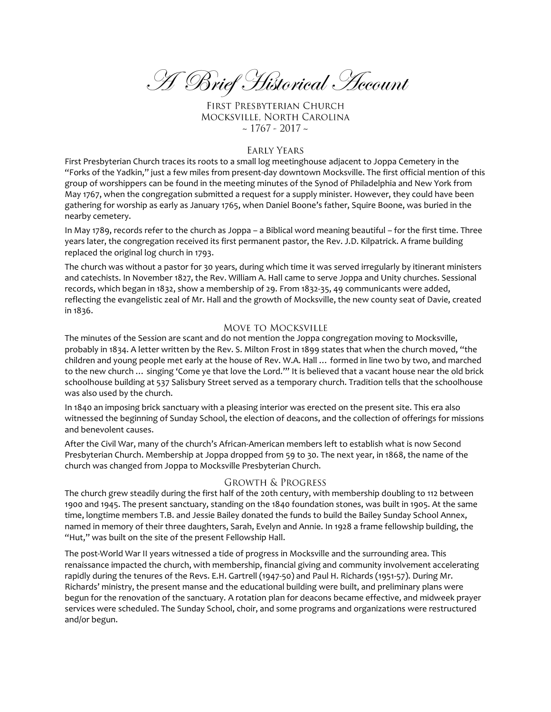A Brief Historical Account

FIRST PRESBYTERIAN CHURCH MOCKSVILLE, NORTH CAROLINA  $\sim$  1767 - 2017  $\sim$ 

### **EARLY YEARS**

First Presbyterian Church traces its roots to a small log meetinghouse adjacent to Joppa Cemetery in the "Forks of the Yadkin," just a few miles from present-day downtown Mocksville. The first official mention of this group of worshippers can be found in the meeting minutes of the Synod of Philadelphia and New York from May 1767, when the congregation submitted a request for a supply minister. However, they could have been gathering for worship as early as January 1765, when Daniel Boone's father, Squire Boone, was buried in the nearby cemetery.

In May 1789, records refer to the church as Joppa – a Biblical word meaning beautiful – for the first time. Three years later, the congregation received its first permanent pastor, the Rev. J.D. Kilpatrick. A frame building replaced the original log church in 1793.

The church was without a pastor for 30 years, during which time it was served irregularly by itinerant ministers and catechists. In November 1827, the Rev. William A. Hall came to serve Joppa and Unity churches. Sessional records, which began in 1832, show a membership of 29. From 1832-35, 49 communicants were added, reflecting the evangelistic zeal of Mr. Hall and the growth of Mocksville, the new county seat of Davie, created in 1836.

### **MOVE TO MOCKSVILLE**

The minutes of the Session are scant and do not mention the Joppa congregation moving to Mocksville, probably in 1834. A letter written by the Rev. S. Milton Frost in 1899 states that when the church moved, "the children and young people met early at the house of Rev. W.A. Hall … formed in line two by two, and marched to the new church … singing 'Come ye that love the Lord.'" It is believed that a vacant house near the old brick schoolhouse building at 537 Salisbury Street served as a temporary church. Tradition tells that the schoolhouse was also used by the church.

In 1840 an imposing brick sanctuary with a pleasing interior was erected on the present site. This era also witnessed the beginning of Sunday School, the election of deacons, and the collection of offerings for missions and benevolent causes.

After the Civil War, many of the church's African-American members left to establish what is now Second Presbyterian Church. Membership at Joppa dropped from 59 to 30. The next year, in 1868, the name of the church was changed from Joppa to Mocksville Presbyterian Church.

#### **GROWTH & PROGRESS**

The church grew steadily during the first half of the 20th century, with membership doubling to 112 between 1900 and 1945. The present sanctuary, standing on the 1840 foundation stones, was built in 1905. At the same time, longtime members T.B. and Jessie Bailey donated the funds to build the Bailey Sunday School Annex, named in memory of their three daughters, Sarah, Evelyn and Annie. In 1928 a frame fellowship building, the "Hut," was built on the site of the present Fellowship Hall.

The post-World War II years witnessed a tide of progress in Mocksville and the surrounding area. This renaissance impacted the church, with membership, financial giving and community involvement accelerating rapidly during the tenures of the Revs. E.H. Gartrell (1947-50) and Paul H. Richards (1951-57). During Mr. Richards' ministry, the present manse and the educational building were built, and preliminary plans were begun for the renovation of the sanctuary. A rotation plan for deacons became effective, and midweek prayer services were scheduled. The Sunday School, choir, and some programs and organizations were restructured and/or begun.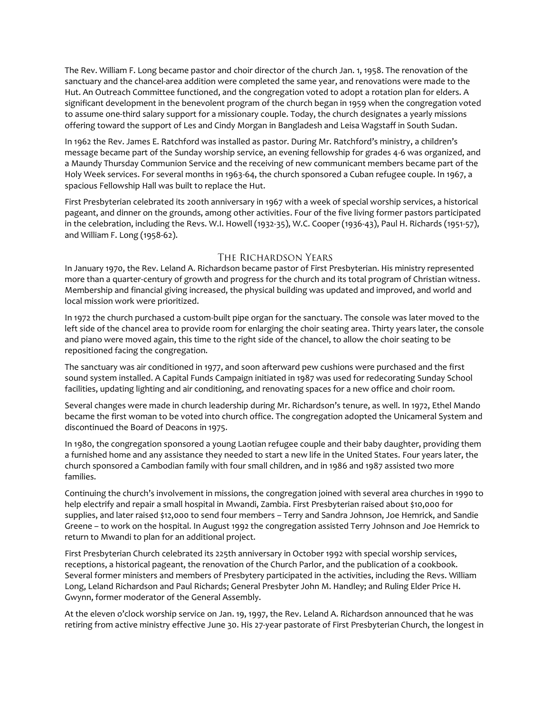The Rev. William F. Long became pastor and choir director of the church Jan. 1, 1958. The renovation of the sanctuary and the chancel-area addition were completed the same year, and renovations were made to the Hut. An Outreach Committee functioned, and the congregation voted to adopt a rotation plan for elders. A significant development in the benevolent program of the church began in 1959 when the congregation voted to assume one-third salary support for a missionary couple. Today, the church designates a yearly missions offering toward the support of Les and Cindy Morgan in Bangladesh and Leisa Wagstaff in South Sudan.

In 1962 the Rev. James E. Ratchford was installed as pastor. During Mr. Ratchford's ministry, a children's message became part of the Sunday worship service, an evening fellowship for grades 4-6 was organized, and a Maundy Thursday Communion Service and the receiving of new communicant members became part of the Holy Week services. For several months in 1963-64, the church sponsored a Cuban refugee couple. In 1967, a spacious Fellowship Hall was built to replace the Hut.

First Presbyterian celebrated its 200th anniversary in 1967 with a week of special worship services, a historical pageant, and dinner on the grounds, among other activities. Four of the five living former pastors participated in the celebration, including the Revs. W.I. Howell (1932-35), W.C. Cooper (1936-43), Paul H. Richards (1951-57), and William F. Long (1958-62).

### THE RICHARDSON YEARS

In January 1970, the Rev. Leland A. Richardson became pastor of First Presbyterian. His ministry represented more than a quarter-century of growth and progress for the church and its total program of Christian witness. Membership and financial giving increased, the physical building was updated and improved, and world and local mission work were prioritized.

In 1972 the church purchased a custom-built pipe organ for the sanctuary. The console was later moved to the left side of the chancel area to provide room for enlarging the choir seating area. Thirty years later, the console and piano were moved again, this time to the right side of the chancel, to allow the choir seating to be repositioned facing the congregation.

The sanctuary was air conditioned in 1977, and soon afterward pew cushions were purchased and the first sound system installed. A Capital Funds Campaign initiated in 1987 was used for redecorating Sunday School facilities, updating lighting and air conditioning, and renovating spaces for a new office and choir room.

Several changes were made in church leadership during Mr. Richardson's tenure, as well. In 1972, Ethel Mando became the first woman to be voted into church office. The congregation adopted the Unicameral System and discontinued the Board of Deacons in 1975.

In 1980, the congregation sponsored a young Laotian refugee couple and their baby daughter, providing them a furnished home and any assistance they needed to start a new life in the United States. Four years later, the church sponsored a Cambodian family with four small children, and in 1986 and 1987 assisted two more families.

Continuing the church's involvement in missions, the congregation joined with several area churches in 1990 to help electrify and repair a small hospital in Mwandi, Zambia. First Presbyterian raised about \$10,000 for supplies, and later raised \$12,000 to send four members – Terry and Sandra Johnson, Joe Hemrick, and Sandie Greene – to work on the hospital. In August 1992 the congregation assisted Terry Johnson and Joe Hemrick to return to Mwandi to plan for an additional project.

First Presbyterian Church celebrated its 225th anniversary in October 1992 with special worship services, receptions, a historical pageant, the renovation of the Church Parlor, and the publication of a cookbook. Several former ministers and members of Presbytery participated in the activities, including the Revs. William Long, Leland Richardson and Paul Richards; General Presbyter John M. Handley; and Ruling Elder Price H. Gwynn, former moderator of the General Assembly.

At the eleven o'clock worship service on Jan. 19, 1997, the Rev. Leland A. Richardson announced that he was retiring from active ministry effective June 30. His 27-year pastorate of First Presbyterian Church, the longest in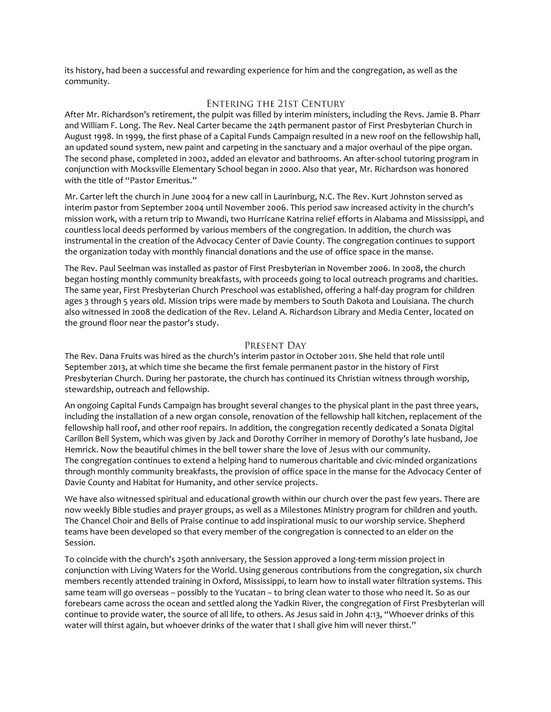its history, had been a successful and rewarding experience for him and the congregation, as well as the community.

# **ENTERING THE 21ST CENTURY**

After Mr. Richardson's retirement, the pulpit was filled by interim ministers, including the Revs. Jamie B. Pharr and William F. Long. The Rev. Neal Carter became the 24th permanent pastor of First Presbyterian Church in August 1998. In 1999, the first phase of a Capital Funds Campaign resulted in a new roof on the fellowship hall, an updated sound system, new paint and carpeting in the sanctuary and a major overhaul of the pipe organ. The second phase, completed in 2002, added an elevator and bathrooms. An after-school tutoring program in conjunction with Mocksville Elementary School began in 2000. Also that year, Mr. Richardson was honored with the title of "Pastor Emeritus."

Mr. Carter left the church in June 2004 for a new call in Laurinburg, N.C. The Rev. Kurt Johnston served as interim pastor from September 2004 until November 2006. This period saw increased activity in the church's mission work, with a return trip to Mwandi, two Hurricane Katrina relief efforts in Alabama and Mississippi, and countless local deeds performed by various members of the congregation. In addition, the church was instrumental in the creation of the Advocacy Center of Davie County. The congregation continues to support the organization today with monthly financial donations and the use of office space in the manse.

The Rev. Paul Seelman was installed as pastor of First Presbyterian in November 2006. In 2008, the church began hosting monthly community breakfasts, with proceeds going to local outreach programs and charities. The same year, First Presbyterian Church Preschool was established, offering a half-day program for children ages 3 through 5 years old. Mission trips were made by members to South Dakota and Louisiana. The church also witnessed in 2008 the dedication of the Rev. Leland A. Richardson Library and Media Center, located on the ground floor near the pastor's study.

## PRESENT DAY

The Rev. Dana Fruits was hired as the church's interim pastor in October 2011. She held that role until September 2013, at which time she became the first female permanent pastor in the history of First Presbyterian Church. During her pastorate, the church has continued its Christian witness through worship, stewardship, outreach and fellowship.

An ongoing Capital Funds Campaign has brought several changes to the physical plant in the past three years, including the installation of a new organ console, renovation of the fellowship hall kitchen, replacement of the fellowship hall roof, and other roof repairs. In addition, the congregation recently dedicated a Sonata Digital Carillon Bell System, which was given by Jack and Dorothy Corriher in memory of Dorothy's late husband, Joe Hemrick. Now the beautiful chimes in the bell tower share the love of Jesus with our community. The congregation continues to extend a helping hand to numerous charitable and civic-minded organizations through monthly community breakfasts, the provision of office space in the manse for the Advocacy Center of Davie County and Habitat for Humanity, and other service projects.

We have also witnessed spiritual and educational growth within our church over the past few years. There are now weekly Bible studies and prayer groups, as well as a Milestones Ministry program for children and youth. The Chancel Choir and Bells of Praise continue to add inspirational music to our worship service. Shepherd teams have been developed so that every member of the congregation is connected to an elder on the Session.

To coincide with the church's 250th anniversary, the Session approved a long-term mission project in conjunction with Living Waters for the World. Using generous contributions from the congregation, six church members recently attended training in Oxford, Mississippi, to learn how to install water filtration systems. This same team will go overseas – possibly to the Yucatan – to bring clean water to those who need it. So as our forebears came across the ocean and settled along the Yadkin River, the congregation of First Presbyterian will continue to provide water, the source of all life, to others. As Jesus said in John 4:13, "Whoever drinks of this water will thirst again, but whoever drinks of the water that I shall give him will never thirst."